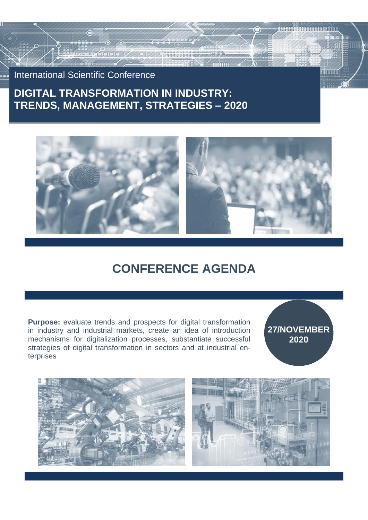International Scientific Conference

## **DIGITAL TRANSFORMATION IN INDUSTRY: TRENDS, MANAGEMENT, STRATEGIES – 2020**



# **CONFERENCE AGENDA**

**Purpose:** evaluate trends and prospects for digital transformation in industry and industrial markets, create an idea of introduction mechanisms for digitalization processes, substantiate successful strategies of digital transformation in sectors and at industrial enterprises

**27/NOVEMBER 2020**

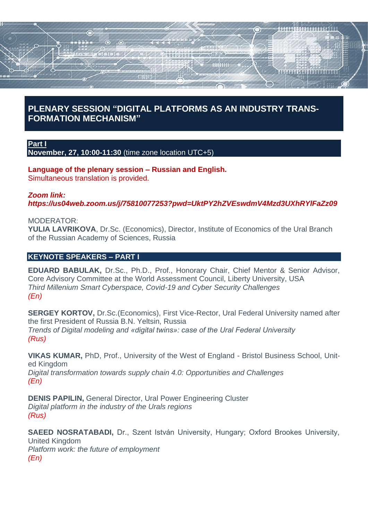# 6 \*\*\*\*\*\*\*\*\*\*\*\*\*\*\*\*\*\*

## **PLENARY SESSION "DIGITAL PLATFORMS AS AN INDUSTRY TRANS-FORMATION MECHANISM"**

**Part I**

**November, 27, 10:00-11:30** (time zone location UTC+5)

**Language of the plenary session – Russian and English.** Simultaneous translation is provided.

#### *Zoom link:*

*https://us04web.zoom.us/j/75810077253?pwd=UktPY2hZVEswdmV4Mzd3UXhRYlFaZz09*

#### MODERATOR:

**YULIA LAVRIKOVA**, Dr.Sc. (Economics), Director, Institute of Economics of the Ural Branch of the Russian Academy of Sciences, Russia

## **KEYNOTE SPEAKERS – PART I**

**EDUARD BABULAK,** Dr.Sc., Ph.D., Prof., Honorary Chair, Chief Mentor & Senior Advisor, Core Advisory Committee at the World Assessment Council, Liberty University, USA *Third Millenium Smart Cyberspace, Covid-19 and Cyber Security Challenges (En)*

**SERGEY KORTOV, Dr.Sc. (Economics), First Vice-Rector, Ural Federal University named after** the first President of Russia B.N. Yeltsin, Russia *Trends of Digital modeling and «digital twins»: case of the Ural Federal University (Rus)*

**VIKAS KUMAR,** PhD, Prof., University of the West of England - Bristol Business School, United Kingdom *Digital transformation towards supply chain 4.0: Opportunities and Challenges (En)*

**DENIS PAPILIN,** General Director, Ural Power Engineering Cluster *Digital platform in the industry of the Urals regions (Rus)*

**SAEED NOSRATABADI,** Dr., Szent István University, Hungary; Oxford Brookes University, United Kingdom *Platform work: the future of employment (En)*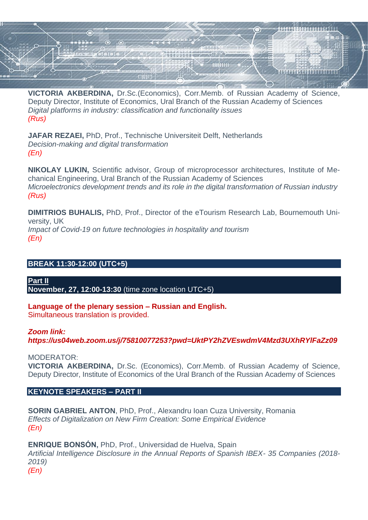

**VICTORIA AKBERDINA,** Dr.Sc.(Economics), Corr.Memb. of Russian Academy of Science, Deputy Director, Institute of Economics, Ural Branch of the Russian Academy of Sciences *Digital platforms in industry: classification and functionality issues (Rus)*

**JAFAR REZAEI,** PhD, Prof., Technische Universiteit Delft, Netherlands *Decision-making and digital transformation (En)*

**NIKOLAY LUKIN,** Scientific advisor, Group of microprocessor architectures, Institute of Mechanical Engineering, Ural Branch of the Russian Academy of Sciences *Microelectronics development trends and its role in the digital transformation of Russian industry (Rus)*

**DIMITRIOS BUHALIS,** PhD, Prof., Director of the eTourism Research Lab, Bournemouth University, UK *Impact of Covid-19 on future technologies in hospitality and tourism (En)*

#### **BREAK 11:30-12:00 (UTC+5)**

**Part II November, 27, 12:00-13:30** (time zone location UTC+5)

**Language of the plenary session – Russian and English.** Simultaneous translation is provided.

#### *Zoom link:*

*https://us04web.zoom.us/j/75810077253?pwd=UktPY2hZVEswdmV4Mzd3UXhRYlFaZz09*

MODERATOR:

**VICTORIA AKBERDINA,** Dr.Sc. (Economics), Corr.Memb. of Russian Academy of Science, Deputy Director, Institute of Economics of the Ural Branch of the Russian Academy of Sciences

#### **KEYNOTE SPEAKERS – PART II**

**SORIN GABRIEL ANTON**, PhD, Prof., Alexandru Ioan Cuza University, Romania *Effects of Digitalization on New Firm Creation: Some Empirical Evidence (En)*

**ENRIQUE BONSÓN,** PhD, Prof., Universidad de Huelva, Spain *Artificial Intelligence Disclosure in the Annual Reports of Spanish IBEX- 35 Companies (2018- 2019) (En)*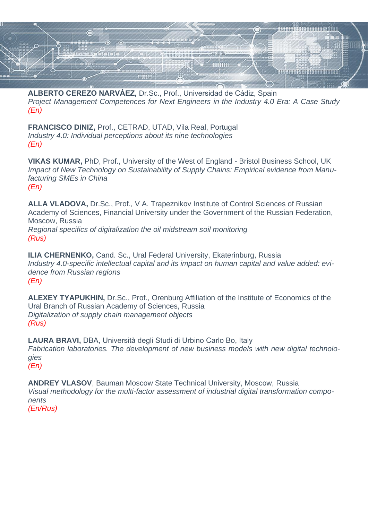

**ALBERTO CEREZO NARVÁEZ,** Dr.Sc., Prof., Universidad de Cádiz, Spain *Project Management Competences for Next Engineers in the Industry 4.0 Era: A Case Study (En)*

**FRANCISCO DINIZ,** Prof., CETRAD, UTAD, Vila Real, Portugal *Industry 4.0: Individual perceptions about its nine technologies (En)*

**VIKAS KUMAR,** PhD, Prof., University of the West of England - Bristol Business School, UK *Impact of New Technology on Sustainability of Supply Chains: Empirical evidence from Manufacturing SMEs in China (En)*

**ALLA VLADOVA,** Dr.Sc., Prof., V A. Trapeznikov Institute of Control Sciences of Russian Academy of Sciences, Financial University under the Government of the Russian Federation, Moscow, Russia *Regional specifics of digitalization the oil midstream soil monitoring (Rus)*

**ILIA CHERNENKO,** Cand. Sc., Ural Federal University, Ekaterinburg, Russia *Industry 4.0-specific intellectual capital and its impact on human capital and value added: evidence from Russian regions (En)*

**ALEXEY TYAPUKHIN,** Dr.Sc., Prof., Orenburg Affiliation of the Institute of Economics of the Ural Branch of Russian Academy of Sciences, Russia *Digitalization of supply chain management objects (Rus)*

**LAURA BRAVI,** DBA, Università degli Studi di Urbino Carlo Bo, Italy *Fabrication laboratories. The development of new business models with new digital technologies (En)*

**ANDREY VLASOV**, Bauman Moscow State Technical University, Moscow, Russia *Visual methodology for the multi-factor assessment of industrial digital transformation components (En/Rus)*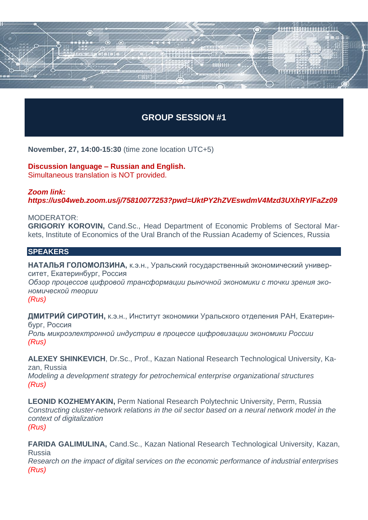## **GROUP SESSION #1**

шши

HIIIN-

\*\*\*\*\*\*\*\*\*\*\*\*\*\*\*\*\*\*

**November, 27, 14:00-15:30** (time zone location UTC+5)

#### **Discussion language – Russian and English.** Simultaneous translation is NOT provided.

 $\bullet$ 

## *Zoom link: https://us04web.zoom.us/j/75810077253?pwd=UktPY2hZVEswdmV4Mzd3UXhRYlFaZz09*

#### MODERATOR:

**GRIGORIY KOROVIN,** Cand.Sc., Head Department of Economic Problems of Sectoral Markets, Institute of Economics of the Ural Branch of the Russian Academy of Sciences, Russia

#### **SPEAKERS**

**НАТАЛЬЯ ГОЛОМОЛЗИНА,** к.э.н., Уральский государственный экономический университет, Екатеринбург, Россия *Обзор процессов цифровой трансформации рыночной экономики с точки зрения экономической теории (Rus)*

**ДМИТРИЙ СИРОТИН,** к.э.н., Институт экономики Уральского отделения РАН, Екатеринбург, Россия *Роль микроэлектронной индустрии в процессе цифровизации экономики России (Rus)*

**ALEXEY SHINKEVICH**, Dr.Sc., Prof., Kazan National Research Technological University, Kazan, Russia

*Modeling a development strategy for petrochemical enterprise organizational structures (Rus)*

**LEONID KOZHEMYAKIN,** Perm National Research Polytechnic University, Perm, Russia *Constructing cluster-network relations in the oil sector based on a neural network model in the context of digitalization (Rus)*

**FARIDA GALIMULINA,** Cand.Sc., Kazan National Research Technological University, Kazan, Russia

*Research on the impact of digital services on the economic performance of industrial enterprises (Rus)*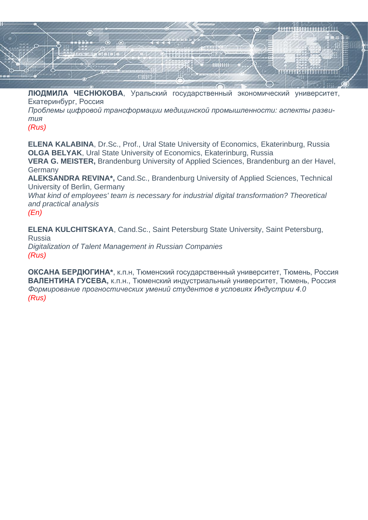

**ЛЮДМИЛА ЧЕСНЮКОВА**, Уральский государственный экономический университет, Екатеринбург, Россия

*Проблемы цифровой трансформации медицинской промышленности: аспекты развития* 

*(Rus)*

**ELENA KALABINA**, Dr.Sc., Prof., Ural State University of Economics, Ekaterinburg, Russia **OLGA BELYAK**, Ural State University of Economics, Ekaterinburg, Russia

**VERA G. MEISTER,** Brandenburg University of Applied Sciences, Brandenburg an der Havel, **Germany** 

**ALEKSANDRA REVINA\*,** Cand.Sc., Brandenburg University of Applied Sciences, Technical University of Berlin, Germany

*What kind of employees' team is necessary for industrial digital transformation? Theoretical and practical analysis* 

*(En)*

**ELENA KULCHITSKAYA**, Cand.Sc., Saint Petersburg State University, Saint Petersburg, Russia

*Digitalization of Talent Management in Russian Companies (Rus)*

**ОКСАНА БЕРДЮГИНА\***, к.п.н, Тюменский государственный университет, Тюмень, Россия **ВАЛЕНТИНА ГУСЕВА,** к.п.н., Тюменский индустриальный университет, Тюмень, Россия *Формирование прогностических умений студентов в условиях Индустрии 4.0 (Rus)*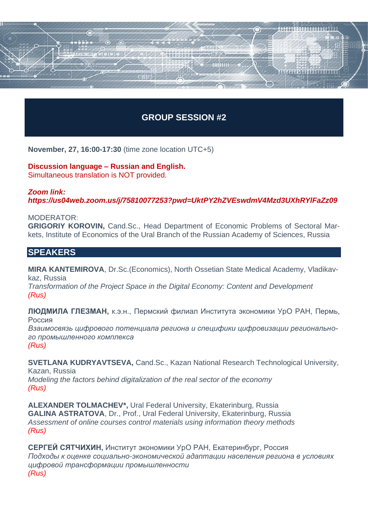## **GROUP SESSION #2**

**JULIANIA LEADERERS** 

**November, 27, 16:00-17:30** (time zone location UTC+5)

**Discussion language – Russian and English.** Simultaneous translation is NOT provided.

6

## *Zoom link: https://us04web.zoom.us/j/75810077253?pwd=UktPY2hZVEswdmV4Mzd3UXhRYlFaZz09*

MODERATOR:

**GRIGORIY KOROVIN,** Cand.Sc., Head Department of Economic Problems of Sectoral Markets, Institute of Economics of the Ural Branch of the Russian Academy of Sciences, Russia

## **SPEAKERS**

**MIRA KANTEMIROVA**, Dr.Sc.(Economics), North Ossetian State Medical Academy, Vladikavkaz, Russia

*Transformation of the Project Space in the Digital Economy: Content and Development (Rus)*

**ЛЮДМИЛА ГЛЕЗМАН,** к.э.н., Пермский филиал Института экономики УрО РАН, Пермь, Россия

*Взаимосвязь цифрового потенциала региона и специфики цифровизации регионального промышленного комплекса (Rus)*

**SVETLANA KUDRYAVTSEVA, Cand.Sc., Kazan National Research Technological University,** Kazan, Russia *Modeling the factors behind digitalization of the real sector of the economy (Rus)*

**ALEXANDER TOLMACHEV\*,** Ural Federal University, Ekaterinburg, Russia **GALINA ASTRATOVA**, Dr., Prof., Ural Federal University, Ekaterinburg, Russia *Assessment of online courses control materials using information theory methods (Rus)*

**СЕРГЕЙ СЯТЧИХИН,** Институт экономики УрО РАН, Екатеринбург, Россия *Подходы к оценке социально-экономической адаптации населения региона в условиях цифровой трансформации промышленности (Rus)*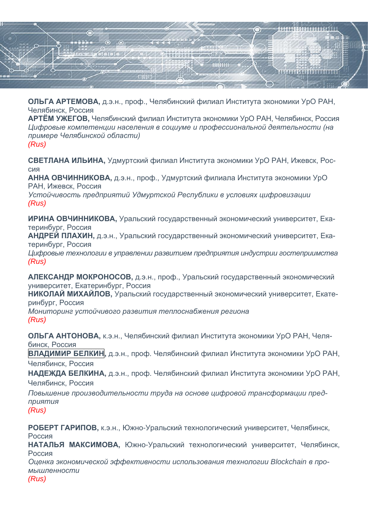

**ОЛЬГА АРТЕМОВА,** д.э.н., проф., Челябинский филиал Института экономики УрО РАН, Челябинск, Россия

**АРТЁМ УЖЕГОВ,** Челябинский филиал Института экономики УрО РАН, Челябинск, Россия *Цифровые компетенции населения в социуме и профессиональной деятельности (на примере Челябинской области) (Rus)*

**СВЕТЛАНА ИЛЬИНА,** Удмуртский филиал Института экономики УрО РАН, Ижевск, Россия

**АННА ОВЧИННИКОВА,** д.э.н., проф., Удмуртский филиала Института экономики УрО РАН, Ижевск, Россия

*Устойчивость предприятий Удмуртской Республики в условиях цифровизации (Rus)*

**ИРИНА ОВЧИННИКОВА,** Уральский государственный экономический университет, Екатеринбург, Россия

**АНДРЕЙ ПЛАХИН,** д.э.н., Уральский государственный экономический университет, Екатеринбург, Россия

*Цифровые технологии в управлении развитием предприятия индустрии гостеприимства (Rus)*

**АЛЕКСАНДР МОКРОНОСОВ,** д.э.н., проф., Уральский государственный экономический университет, Екатеринбург, Россия

**НИКОЛАЙ МИХАЙЛОВ,** Уральский государственный экономический университет, Екатеринбург, Россия

*Мониторинг устойчивого развития теплоснабжения региона (Rus)*

**ОЛЬГА АНТОНОВА,** к.э.н., Челябинский филиал Института экономики УрО РАН, Челябинск, Россия

**ВЛАДИМИР БЕЛКИН,** д.э.н., проф. Челябинский филиал Института экономики УрО РАН, Челябинск, Россия

**НАДЕЖДА БЕЛКИНА,** д.э.н., проф. Челябинский филиал Института экономики УрО РАН, Челябинск, Россия

*Повышение производительности труда на основе цифровой трансформации предприятия (Rus)*

**РОБЕРТ ГАРИПОВ,** к.э.н., Южно-Уральский технологический университет, Челябинск, Россия **НАТАЛЬЯ МАКСИМОВА,** Южно-Уральский технологический университет, Челябинск, Россия *Оценка экономической эффективности использования технологии Blockchain в промышленности (Rus)*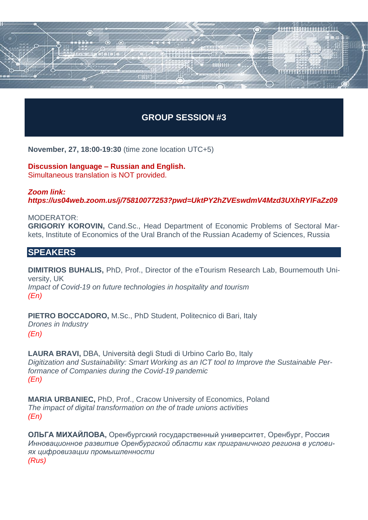## **GROUP SESSION #3**

**JULIANIA LEADERERS** 

**November, 27, 18:00-19:30** (time zone location UTC+5)

**Discussion language – Russian and English.** Simultaneous translation is NOT provided.

## *Zoom link: https://us04web.zoom.us/j/75810077253?pwd=UktPY2hZVEswdmV4Mzd3UXhRYlFaZz09*

MODERATOR:

**GRIGORIY KOROVIN,** Cand.Sc., Head Department of Economic Problems of Sectoral Markets, Institute of Economics of the Ural Branch of the Russian Academy of Sciences, Russia

### **SPEAKERS**

**DIMITRIOS BUHALIS,** PhD, Prof., Director of the eTourism Research Lab, Bournemouth University, UK

*Impact of Covid-19 on future technologies in hospitality and tourism (En)*

**PIETRO BOCCADORO,** M.Sc., PhD Student, Politecnico di Bari, Italy *Drones in Industry (En)*

**LAURA BRAVI,** DBA, Università degli Studi di Urbino Carlo Bo, Italy *Digitization and Sustainability: Smart Working as an ICT tool to Improve the Sustainable Performance of Companies during the Covid-19 pandemic (En)*

**MARIA URBANIEC,** PhD, Prof., Cracow University of Economics, Poland *The impact of digital transformation on the of trade unions activities (En)*

**ОЛЬГА МИХАЙЛОВА,** Оренбургский государственный университет, Оренбург, Россия *Инновационное развитие Оренбургской области как приграничного региона в условиях цифровизации промышленности (Rus)*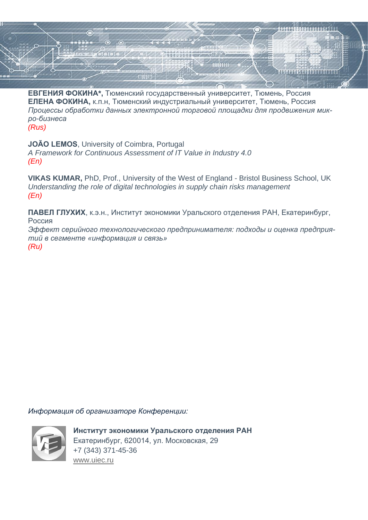

**ЕВГЕНИЯ ФОКИНА\*,** Тюменский государственный университет, Тюмень, Россия **ЕЛЕНА ФОКИНА,** к.п.н, Тюменский индустриальный университет, Тюмень, Россия *Процессы обработки данных электронной торговой площадки для продвижения микро-бизнеса*

*(Rus)*

**JOÃO LEMOS**, University of Coimbra, Portugal *A Framework for Continuous Assessment of IT Value in Industry 4.0 (En)*

**VIKAS KUMAR,** PhD, Prof., University of the West of England - Bristol Business School, UK *Understanding the role of digital technologies in supply chain risks management (En)*

**ПАВЕЛ ГЛУХИХ**, к.э.н., Институт экономики Уральского отделения РАН, Екатеринбург, Россия

*Эффект серийного технологического предпринимателя: подходы и оценка предприятий в сегменте «информация и связь» (Ru)*

*Информация об организаторе Конференции:*



**Институт экономики Уральского отделения РАН** Екатеринбург, 620014, ул. Московская, 29 +7 (343) 371-45-36 [www.uiec.ru](http://www.uiec.ru/)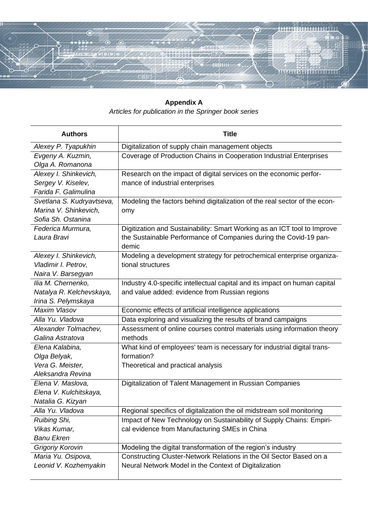

**Appendix A** *Articles for publication in the Springer book series*

| <b>Authors</b>            | <b>Title</b>                                                               |
|---------------------------|----------------------------------------------------------------------------|
| Alexey P. Tyapukhin       | Digitalization of supply chain management objects                          |
| Evgeny A. Kuzmin,         | Coverage of Production Chains in Cooperation Industrial Enterprises        |
| Olga A. Romanona          |                                                                            |
| Alexey I. Shinkevich,     | Research on the impact of digital services on the economic perfor-         |
| Sergey V. Kiselev,        | mance of industrial enterprises                                            |
| Farida F. Galimulina      |                                                                            |
| Svetlana S. Kudryavtseva, | Modeling the factors behind digitalization of the real sector of the econ- |
| Marina V. Shinkevich,     | omy                                                                        |
| Sofia Sh. Ostanina        |                                                                            |
| Federica Murmura,         | Digitization and Sustainability: Smart Working as an ICT tool to Improve   |
| Laura Bravi               | the Sustainable Performance of Companies during the Covid-19 pan-          |
|                           | demic                                                                      |
| Alexey I. Shinkevich,     | Modeling a development strategy for petrochemical enterprise organiza-     |
| Vladimir I. Petrov,       | tional structures                                                          |
| Naira V. Barsegyan        |                                                                            |
| Ilia M. Chernenko,        | Industry 4.0-specific intellectual capital and its impact on human capital |
| Natalya R. Kelchevskaya,  | and value added: evidence from Russian regions                             |
| Irina S. Pelymskaya       |                                                                            |
| Maxim Vlasov              | Economic effects of artificial intelligence applications                   |
| Alla Yu. Vladova          | Data exploring and visualizing the results of brand campaigns              |
| Alexander Tolmachev,      | Assessment of online courses control materials using information theory    |
| Galina Astratova          | methods                                                                    |
| Elena Kalabina,           | What kind of employees' team is necessary for industrial digital trans-    |
| Olga Belyak,              | formation?                                                                 |
| Vera G. Meister,          | Theoretical and practical analysis                                         |
| Aleksandra Revina         |                                                                            |
| Elena V. Maslova,         | Digitalization of Talent Management in Russian Companies                   |
| Elena V. Kulchitskaya,    |                                                                            |
| Natalia G. Kizyan         |                                                                            |
| Alla Yu. Vladova          | Regional specifics of digitalization the oil midstream soil monitoring     |
| Ruibing Shi,              | Impact of New Technology on Sustainability of Supply Chains: Empiri-       |
| Vikas Kumar,              | cal evidence from Manufacturing SMEs in China                              |
| <b>Banu Ekren</b>         |                                                                            |
| Grigoriy Korovin          | Modeling the digital transformation of the region's industry               |
| Maria Yu. Osipova,        | Constructing Cluster-Network Relations in the Oil Sector Based on a        |
| Leonid V. Kozhemyakin     | Neural Network Model in the Context of Digitalization                      |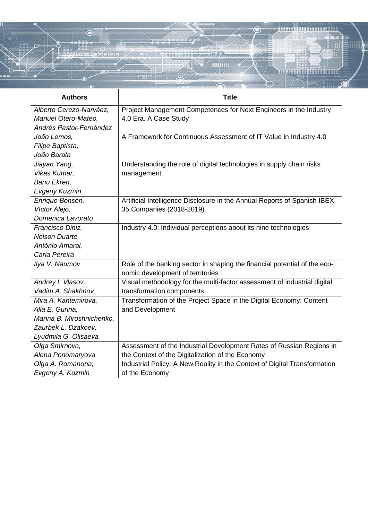

| <b>Authors</b>            | <b>Title</b>                                                              |
|---------------------------|---------------------------------------------------------------------------|
| Alberto Cerezo-Narváez,   | Project Management Competences for Next Engineers in the Industry         |
| Manuel Otero-Mateo,       | 4.0 Era. A Case Study                                                     |
| Andrés Pastor-Fernández   |                                                                           |
| João Lemos,               | A Framework for Continuous Assessment of IT Value in Industry 4.0         |
| Filipe Baptista,          |                                                                           |
| João Barata               |                                                                           |
| Jiayan Yang,              | Understanding the role of digital technologies in supply chain risks      |
| Vikas Kumar,              | management                                                                |
| Banu Ekren,               |                                                                           |
| <b>Evgeny Kuzmin</b>      |                                                                           |
| Enrique Bonsón,           | Artificial Intelligence Disclosure in the Annual Reports of Spanish IBEX- |
| Víctor Alejo,             | 35 Companies (2018-2019)                                                  |
| Domenica Lavorato         |                                                                           |
| Francisco Diniz,          | Industry 4.0: Individual perceptions about its nine technologies          |
| Nelson Duarte,            |                                                                           |
| António Amaral,           |                                                                           |
| Carla Pereira             |                                                                           |
| Ilya V. Naumov            | Role of the banking sector in shaping the financial potential of the eco- |
|                           | nomic development of territories                                          |
| Andrey I. Vlasov,         | Visual methodology for the multi-factor assessment of industrial digital  |
| Vadim A. Shakhnov         | transformation components                                                 |
| Mira A. Kantemirova,      | Transformation of the Project Space in the Digital Economy: Content       |
| Alla E. Gurina.           | and Development                                                           |
| Marina B. Miroshnichenko, |                                                                           |
| Zaurbek L. Dzakoev,       |                                                                           |
| Lyudmila G. Olisaeva      |                                                                           |
| Olga Smirnova,            | Assessment of the Industrial Development Rates of Russian Regions in      |
| Alena Ponomaryova         | the Context of the Digitalization of the Economy                          |
| Olga A. Romanona,         | Industrial Policy: A New Reality in the Context of Digital Transformation |
| Evgeny A. Kuzmin          | of the Economy                                                            |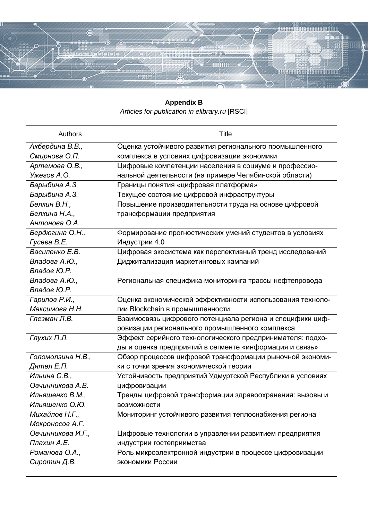

**Appendix B** *Articles for publication in elibrary.ru* [RSCI]

| <b>Authors</b>    | <b>Title</b>                                              |
|-------------------|-----------------------------------------------------------|
| Акбердина В.В.,   | Оценка устойчивого развития регионального промышленного   |
| Смирнова О.П.     | комплекса в условиях цифровизации экономики               |
| Артемова О.В.,    | Цифровые компетенции населения в социуме и профессио-     |
| Ужегов А.О.       | нальной деятельности (на примере Челябинской области)     |
| Барыбина А.З.     | Границы понятия «цифровая платформа»                      |
| Барыбина А.З.     | Текущее состояние цифровой инфраструктуры                 |
| Белкин В.Н.,      | Повышение производительности труда на основе цифровой     |
| Белкина Н.А.,     | трансформации предприятия                                 |
| Антонова О.А.     |                                                           |
| Бердюгина О.Н.,   | Формирование прогностических умений студентов в условиях  |
| Гусева В.Е.       | Индустрии 4.0                                             |
| Василенко Е.В.    | Цифровая экосистема как перспективный тренд исследований  |
| Владова А.Ю.,     | Диджитализация маркетинговых кампаний                     |
| Владов Ю.Р.       |                                                           |
| Владова А.Ю.,     | Региональная специфика мониторинга трассы нефтепровода    |
| Владов Ю.Р.       |                                                           |
| Гарипов Р.И.,     | Оценка экономической эффективности использования техноло- |
| Максимова Н.Н.    | гии Blockchain в промышленности                           |
| Глезман Л.В.      | Взаимосвязь цифрового потенциала региона и специфики циф- |
|                   | ровизации регионального промышленного комплекса           |
| Глухих П.Л.       | Эффект серийного технологического предпринимателя: подхо- |
|                   | ды и оценка предприятий в сегменте «информация и связь»   |
| Голомолзина Н.В., | Обзор процессов цифровой трансформации рыночной экономи-  |
| Дятел Е.П.        | ки с точки зрения экономической теории                    |
| Ильина С.В.,      | Устойчивость предприятий Удмуртской Республики в условиях |
| Овчинникова А.В.  | цифровизации                                              |
| Ильяшенко В.М.,   | Тренды цифровой трансформации здравоохранения: вызовы и   |
| Ильяшенко О.Ю.    | <b>ВОЗМОЖНОСТИ</b>                                        |
| Михайлов Н.Г.,    | Мониторинг устойчивого развития теплоснабжения региона    |
| Мокроносов А.Г.   |                                                           |
| Овчинникова И.Г., | Цифровые технологии в управлении развитием предприятия    |
| Плахин А.Е.       | индустрии гостеприимства                                  |
| Романова О.А.,    | Роль микроэлектронной индустрии в процессе цифровизации   |
| Сиротин Д.В.      | экономики России                                          |
|                   |                                                           |